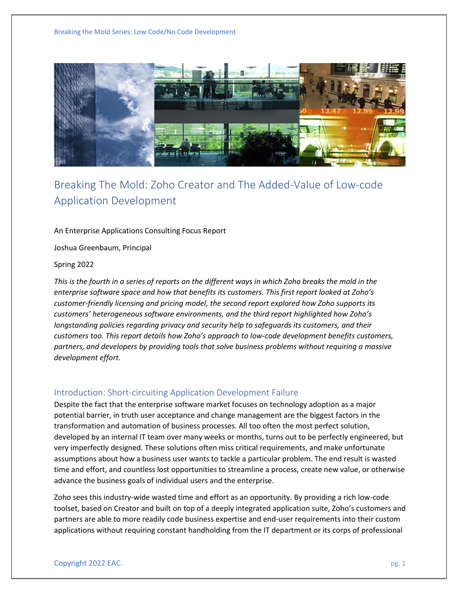Breaking the Mold Series: Low Code/No Code Development



# Breaking The Mold: Zoho Creator and The Added-Value of Low-code Application Development

#### An Enterprise Applications Consulting Focus Report

Joshua Greenbaum, Principal

#### Spring 2022

*This is the fourth in a series of reports on the different ways in which Zoho breaks the mold in the enterprise software space and how that benefits its customers. This first report looked at Zoho's customer-friendly licensing and pricing model, the second report explored how Zoho supports its customers' heterogeneous software environments, and the third report highlighted how Zoho's longstanding policies regarding privacy and security help to safeguards its customers, and their customers too. This report details how Zoho's approach to low-code development benefits customers, partners, and developers by providing tools that solve business problems without requiring a massive development effort.* 

#### Introduction: Short-circuiting Application Development Failure

Despite the fact that the enterprise software market focuses on technology adoption as a major potential barrier, in truth user acceptance and change management are the biggest factors in the transformation and automation of business processes. All too often the most perfect solution, developed by an internal IT team over many weeks or months, turns out to be perfectly engineered, but very imperfectly designed. These solutions often miss critical requirements, and make unfortunate assumptions about how a business user wants to tackle a particular problem. The end result is wasted time and effort, and countless lost opportunities to streamline a process, create new value, or otherwise advance the business goals of individual users and the enterprise.

Zoho sees this industry-wide wasted time and effort as an opportunity. By providing a rich low-code toolset, based on Creator and built on top of a deeply integrated application suite, Zoho's customers and partners are able to more readily code business expertise and end-user requirements into their custom applications without requiring constant handholding from the IT department or its corps of professional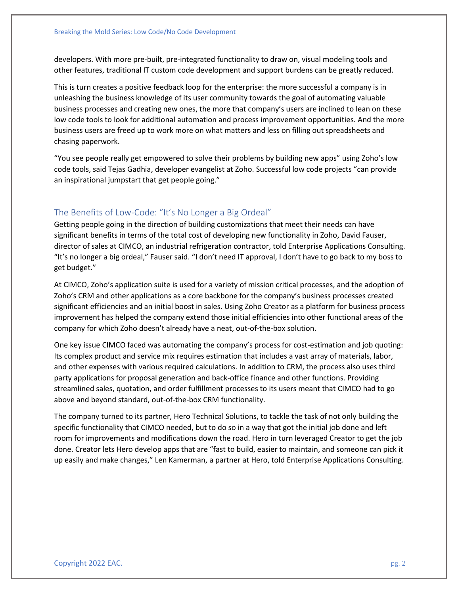developers. With more pre-built, pre-integrated functionality to draw on, visual modeling tools and other features, traditional IT custom code development and support burdens can be greatly reduced.

This is turn creates a positive feedback loop for the enterprise: the more successful a company is in unleashing the business knowledge of its user community towards the goal of automating valuable business processes and creating new ones, the more that company's users are inclined to lean on these low code tools to look for additional automation and process improvement opportunities. And the more business users are freed up to work more on what matters and less on filling out spreadsheets and chasing paperwork.

"You see people really get empowered to solve their problems by building new apps" using Zoho's low code tools, said Tejas Gadhia, developer evangelist at Zoho. Successful low code projects "can provide an inspirational jumpstart that get people going."

#### The Benefits of Low-Code: "It's No Longer a Big Ordeal"

Getting people going in the direction of building customizations that meet their needs can have significant benefits in terms of the total cost of developing new functionality in Zoho, David Fauser, director of sales at CIMCO, an industrial refrigeration contractor, told Enterprise Applications Consulting. "It's no longer a big ordeal," Fauser said. "I don't need IT approval, I don't have to go back to my boss to get budget."

At CIMCO, Zoho's application suite is used for a variety of mission critical processes, and the adoption of Zoho's CRM and other applications as a core backbone for the company's business processes created significant efficiencies and an initial boost in sales. Using Zoho Creator as a platform for business process improvement has helped the company extend those initial efficiencies into other functional areas of the company for which Zoho doesn't already have a neat, out-of-the-box solution.

One key issue CIMCO faced was automating the company's process for cost-estimation and job quoting: Its complex product and service mix requires estimation that includes a vast array of materials, labor, and other expenses with various required calculations. In addition to CRM, the process also uses third party applications for proposal generation and back-office finance and other functions. Providing streamlined sales, quotation, and order fulfillment processes to its users meant that CIMCO had to go above and beyond standard, out-of-the-box CRM functionality.

The company turned to its partner, Hero Technical Solutions, to tackle the task of not only building the specific functionality that CIMCO needed, but to do so in a way that got the initial job done and left room for improvements and modifications down the road. Hero in turn leveraged Creator to get the job done. Creator lets Hero develop apps that are "fast to build, easier to maintain, and someone can pick it up easily and make changes," Len Kamerman, a partner at Hero, told Enterprise Applications Consulting.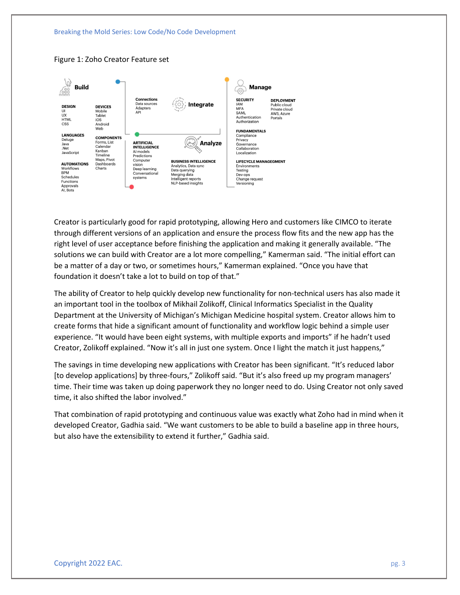



Figure 1: Zoho Creator Feature set

Creator is particularly good for rapid prototyping, allowing Hero and customers like CIMCO to iterate through different versions of an application and ensure the process flow fits and the new app has the right level of user acceptance before finishing the application and making it generally available. "The solutions we can build with Creator are a lot more compelling," Kamerman said. "The initial effort can be a matter of a day or two, or sometimes hours," Kamerman explained. "Once you have that foundation it doesn't take a lot to build on top of that."

The ability of Creator to help quickly develop new functionality for non-technical users has also made it an important tool in the toolbox of Mikhail Zolikoff, Clinical Informatics Specialist in the Quality Department at the University of Michigan's Michigan Medicine hospital system. Creator allows him to create forms that hide a significant amount of functionality and workflow logic behind a simple user experience. "It would have been eight systems, with multiple exports and imports" if he hadn't used Creator, Zolikoff explained. "Now it's all in just one system. Once I light the match it just happens,"

The savings in time developing new applications with Creator has been significant. "It's reduced labor [to develop applications] by three-fours," Zolikoff said. "But it's also freed up my program managers' time. Their time was taken up doing paperwork they no longer need to do. Using Creator not only saved time, it also shifted the labor involved."

That combination of rapid prototyping and continuous value was exactly what Zoho had in mind when it developed Creator, Gadhia said. "We want customers to be able to build a baseline app in three hours, but also have the extensibility to extend it further," Gadhia said.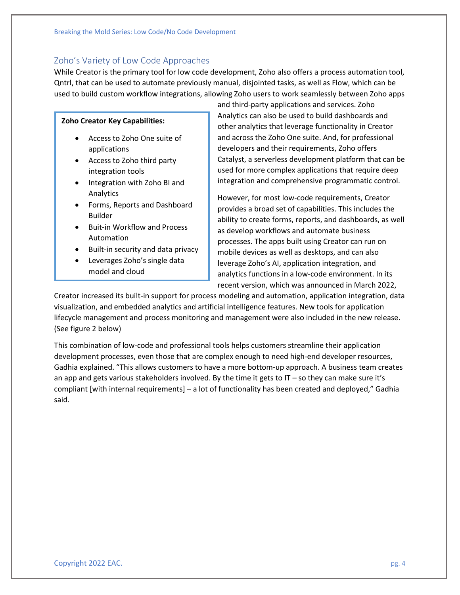## Zoho's Variety of Low Code Approaches

While Creator is the primary tool for low code development, Zoho also offers a process automation tool, Qntrl, that can be used to automate previously manual, disjointed tasks, as well as Flow, which can be used to build custom workflow integrations, allowing Zoho users to work seamlessly between Zoho apps

#### **Zoho Creator Key Capabilities:**

- Access to Zoho One suite of applications
- Access to Zoho third party integration tools
- Integration with Zoho BI and Analytics
- Forms, Reports and Dashboard Builder
- Buit-in Workflow and Process Automation
- Built-in security and data privacy
- Leverages Zoho's single data model and cloud

and third-party applications and services. Zoho Analytics can also be used to build dashboards and other analytics that leverage functionality in Creator and across the Zoho One suite. And, for professional developers and their requirements, Zoho offers Catalyst, a serverless development platform that can be used for more complex applications that require deep integration and comprehensive programmatic control.

However, for most low-code requirements, Creator provides a broad set of capabilities. This includes the ability to create forms, reports, and dashboards, as well as develop workflows and automate business processes. The apps built using Creator can run on mobile devices as well as desktops, and can also leverage Zoho's AI, application integration, and analytics functions in a low-code environment. In its recent version, which was announced in March 2022,

Creator increased its built-in support for process modeling and automation, application integration, data visualization, and embedded analytics and artificial intelligence features. New tools for application lifecycle management and process monitoring and management were also included in the new release. (See figure 2 below)

This combination of low-code and professional tools helps customers streamline their application development processes, even those that are complex enough to need high-end developer resources, Gadhia explained. "This allows customers to have a more bottom-up approach. A business team creates an app and gets various stakeholders involved. By the time it gets to  $IT - so$  they can make sure it's compliant [with internal requirements] – a lot of functionality has been created and deployed," Gadhia said.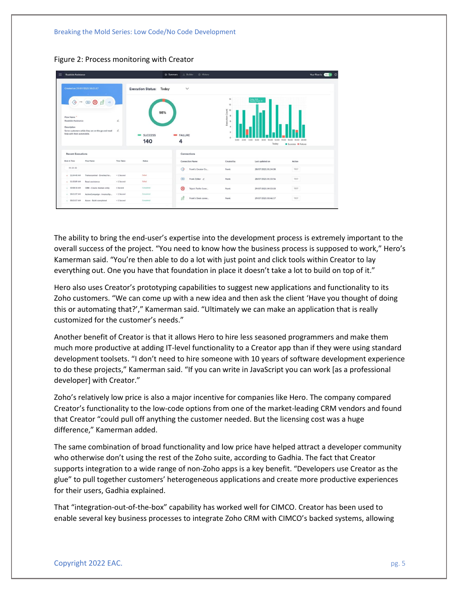Breaking the Mold Series: Low Code/No Code Development



Figure 2: Process monitoring with Creator

The ability to bring the end-user's expertise into the development process is extremely important to the overall success of the project. "You need to know how the business process is supposed to work," Hero's Kamerman said. "You're then able to do a lot with just point and click tools within Creator to lay everything out. One you have that foundation in place it doesn't take a lot to build on top of it."

Hero also uses Creator's prototyping capabilities to suggest new applications and functionality to its Zoho customers. "We can come up with a new idea and then ask the client 'Have you thought of doing this or automating that?'," Kamerman said. "Ultimately we can make an application that is really customized for the customer's needs."

Another benefit of Creator is that it allows Hero to hire less seasoned programmers and make them much more productive at adding IT-level functionality to a Creator app than if they were using standard development toolsets. "I don't need to hire someone with 10 years of software development experience to do these projects," Kamerman said. "If you can write in JavaScript you can work [as a professional developer] with Creator."

Zoho's relatively low price is also a major incentive for companies like Hero. The company compared Creator's functionality to the low-code options from one of the market-leading CRM vendors and found that Creator "could pull off anything the customer needed. But the licensing cost was a huge difference," Kamerman added.

The same combination of broad functionality and low price have helped attract a developer community who otherwise don't using the rest of the Zoho suite, according to Gadhia. The fact that Creator supports integration to a wide range of non-Zoho apps is a key benefit. "Developers use Creator as the glue" to pull together customers' heterogeneous applications and create more productive experiences for their users, Gadhia explained.

That "integration-out-of-the-box" capability has worked well for CIMCO. Creator has been used to enable several key business processes to integrate Zoho CRM with CIMCO's backed systems, allowing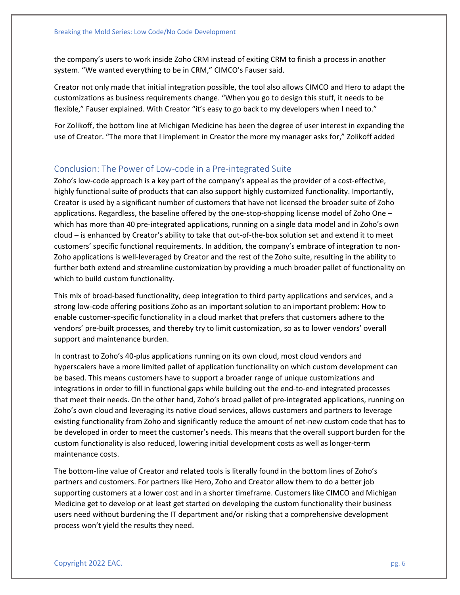the company's users to work inside Zoho CRM instead of exiting CRM to finish a process in another system. "We wanted everything to be in CRM," CIMCO's Fauser said.

Creator not only made that initial integration possible, the tool also allows CIMCO and Hero to adapt the customizations as business requirements change. "When you go to design this stuff, it needs to be flexible," Fauser explained. With Creator "it's easy to go back to my developers when I need to."

For Zolikoff, the bottom line at Michigan Medicine has been the degree of user interest in expanding the use of Creator. "The more that I implement in Creator the more my manager asks for," Zolikoff added

### Conclusion: The Power of Low-code in a Pre-integrated Suite

Zoho's low-code approach is a key part of the company's appeal as the provider of a cost-effective, highly functional suite of products that can also support highly customized functionality. Importantly, Creator is used by a significant number of customers that have not licensed the broader suite of Zoho applications. Regardless, the baseline offered by the one-stop-shopping license model of Zoho One – which has more than 40 pre-integrated applications, running on a single data model and in Zoho's own cloud – is enhanced by Creator's ability to take that out-of-the-box solution set and extend it to meet customers' specific functional requirements. In addition, the company's embrace of integration to non-Zoho applications is well-leveraged by Creator and the rest of the Zoho suite, resulting in the ability to further both extend and streamline customization by providing a much broader pallet of functionality on which to build custom functionality.

This mix of broad-based functionality, deep integration to third party applications and services, and a strong low-code offering positions Zoho as an important solution to an important problem: How to enable customer-specific functionality in a cloud market that prefers that customers adhere to the vendors' pre-built processes, and thereby try to limit customization, so as to lower vendors' overall support and maintenance burden.

In contrast to Zoho's 40-plus applications running on its own cloud, most cloud vendors and hyperscalers have a more limited pallet of application functionality on which custom development can be based. This means customers have to support a broader range of unique customizations and integrations in order to fill in functional gaps while building out the end-to-end integrated processes that meet their needs. On the other hand, Zoho's broad pallet of pre-integrated applications, running on Zoho's own cloud and leveraging its native cloud services, allows customers and partners to leverage existing functionality from Zoho and significantly reduce the amount of net-new custom code that has to be developed in order to meet the customer's needs. This means that the overall support burden for the custom functionality is also reduced, lowering initial development costs as well as longer-term maintenance costs.

The bottom-line value of Creator and related tools is literally found in the bottom lines of Zoho's partners and customers. For partners like Hero, Zoho and Creator allow them to do a better job supporting customers at a lower cost and in a shorter timeframe. Customers like CIMCO and Michigan Medicine get to develop or at least get started on developing the custom functionality their business users need without burdening the IT department and/or risking that a comprehensive development process won't yield the results they need.